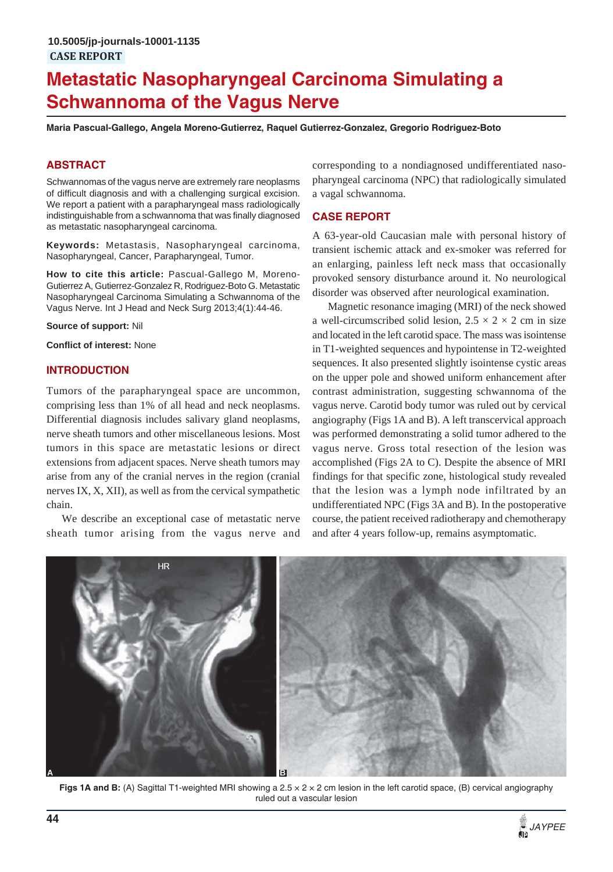# **Metastatic Nasopharyngeal Carcinoma Simulating a Schwannoma of the Vagus Nerve**

**Maria Pascual-Gallego, Angela Moreno-Gutierrez, Raquel Gutierrez-Gonzalez, Gregorio Rodriguez-Boto**

## **ABSTRACT**

Schwannomas of the vagus nerve are extremely rare neoplasms of difficult diagnosis and with a challenging surgical excision. We report a patient with a parapharyngeal mass radiologically indistinguishable from a schwannoma that was finally diagnosed as metastatic nasopharyngeal carcinoma.

**Keywords:** Metastasis, Nasopharyngeal carcinoma, Nasopharyngeal, Cancer, Parapharyngeal, Tumor.

**How to cite this article:** Pascual-Gallego M, Moreno-Gutierrez A, Gutierrez-Gonzalez R, Rodriguez-Boto G. Metastatic Nasopharyngeal Carcinoma Simulating a Schwannoma of the Vagus Nerve. Int J Head and Neck Surg 2013;4(1):44-46.

**Source of support:** Nil

**Conflict of interest:** None

#### **INTRODUCTION**

Tumors of the parapharyngeal space are uncommon, comprising less than 1% of all head and neck neoplasms. Differential diagnosis includes salivary gland neoplasms, nerve sheath tumors and other miscellaneous lesions. Most tumors in this space are metastatic lesions or direct extensions from adjacent spaces. Nerve sheath tumors may arise from any of the cranial nerves in the region (cranial nerves IX, X, XII), as well as from the cervical sympathetic chain.

We describe an exceptional case of metastatic nerve sheath tumor arising from the vagus nerve and

corresponding to a nondiagnosed undifferentiated nasopharyngeal carcinoma (NPC) that radiologically simulated a vagal schwannoma.

## **CASE REPORT**

A 63-year-old Caucasian male with personal history of transient ischemic attack and ex-smoker was referred for an enlarging, painless left neck mass that occasionally provoked sensory disturbance around it. No neurological disorder was observed after neurological examination.

Magnetic resonance imaging (MRI) of the neck showed a well-circumscribed solid lesion,  $2.5 \times 2 \times 2$  cm in size and located in the left carotid space. The mass was isointense in T1-weighted sequences and hypointense in T2-weighted sequences. It also presented slightly isointense cystic areas on the upper pole and showed uniform enhancement after contrast administration, suggesting schwannoma of the vagus nerve. Carotid body tumor was ruled out by cervical angiography (Figs 1A and B). A left transcervical approach was performed demonstrating a solid tumor adhered to the vagus nerve. Gross total resection of the lesion was accomplished (Figs 2A to C). Despite the absence of MRI findings for that specific zone, histological study revealed that the lesion was a lymph node infiltrated by an undifferentiated NPC (Figs 3A and B). In the postoperative course, the patient received radiotherapy and chemotherapy and after 4 years follow-up, remains asymptomatic.



**Figs 1A and B:** (A) Sagittal T1-weighted MRI showing a 2.5 x 2 x 2 cm lesion in the left carotid space, (B) cervical angiography ruled out a vascular lesion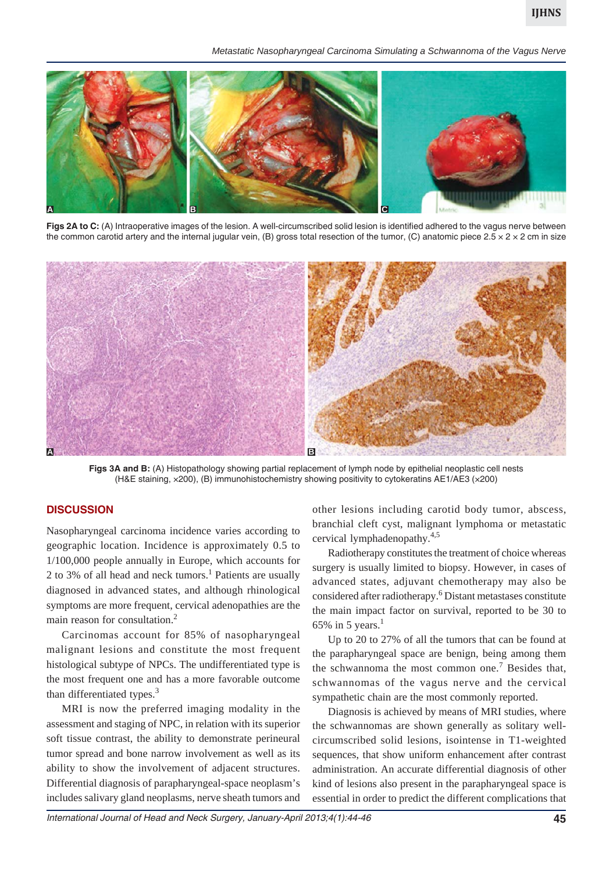*Metastatic Nasopharyngeal Carcinoma Simulating a Schwannoma of the Vagus Nerve*



Figs 2A to C: (A) Intraoperative images of the lesion. A well-circumscribed solid lesion is identified adhered to the vagus nerve between the common carotid artery and the internal jugular vein, (B) gross total resection of the tumor, (C) anatomic piece  $2.5 \times 2 \times 2$  cm in size



**Figs 3A and B:** (A) Histopathology showing partial replacement of lymph node by epithelial neoplastic cell nests (H&E staining, ×200), (B) immunohistochemistry showing positivity to cytokeratins AE1/AE3 (×200)

#### **DISCUSSION**

Nasopharyngeal carcinoma incidence varies according to geographic location. Incidence is approximately 0.5 to 1/100,000 people annually in Europe, which accounts for 2 to 3% of all head and neck tumors.<sup>1</sup> Patients are usually diagnosed in advanced states, and although rhinological symptoms are more frequent, cervical adenopathies are the main reason for consultation.<sup>2</sup>

Carcinomas account for 85% of nasopharyngeal malignant lesions and constitute the most frequent histological subtype of NPCs. The undifferentiated type is the most frequent one and has a more favorable outcome than differentiated types.<sup>3</sup>

MRI is now the preferred imaging modality in the assessment and staging of NPC, in relation with its superior soft tissue contrast, the ability to demonstrate perineural tumor spread and bone narrow involvement as well as its ability to show the involvement of adjacent structures. Differential diagnosis of parapharyngeal-space neoplasm's includes salivary gland neoplasms, nerve sheath tumors and

other lesions including carotid body tumor, abscess, branchial cleft cyst, malignant lymphoma or metastatic cervical lymphadenopathy.4,5

Radiotherapy constitutes the treatment of choice whereas surgery is usually limited to biopsy. However, in cases of advanced states, adjuvant chemotherapy may also be considered after radiotherapy.<sup>6</sup> Distant metastases constitute the main impact factor on survival, reported to be 30 to 65% in 5 years.<sup>1</sup>

Up to 20 to 27% of all the tumors that can be found at the parapharyngeal space are benign, being among them the schwannoma the most common one.<sup>7</sup> Besides that, schwannomas of the vagus nerve and the cervical sympathetic chain are the most commonly reported.

Diagnosis is achieved by means of MRI studies, where the schwannomas are shown generally as solitary wellcircumscribed solid lesions, isointense in T1-weighted sequences, that show uniform enhancement after contrast administration. An accurate differential diagnosis of other kind of lesions also present in the parapharyngeal space is essential in order to predict the different complications that